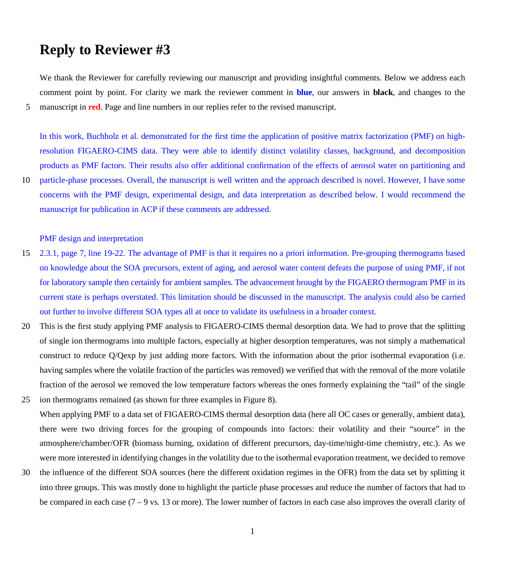# **Reply to Reviewer #3**

We thank the Reviewer for carefully reviewing our manuscript and providing insightful comments. Below we address each comment point by point. For clarity we mark the reviewer comment in **blue**, our answers in **black**, and changes to the 5 manuscript in **red**. Page and line numbers in our replies refer to the revised manuscript.

In this work, Buchholz et al. demonstrated for the first time the application of positive matrix factorization (PMF) on highresolution FIGAERO-CIMS data. They were able to identify distinct volatility classes, background, and decomposition products as PMF factors. Their results also offer additional confirmation of the effects of aerosol water on partitioning and 10 particle-phase processes. Overall, the manuscript is well written and the approach described is novel. However, I have some

concerns with the PMF design, experimental design, and data interpretation as described below. I would recommend the manuscript for publication in ACP if these comments are addressed.

PMF design and interpretation

- 15 2.3.1, page 7, line 19-22. The advantage of PMF is that it requires no a priori information. Pre-grouping thermograms based on knowledge about the SOA precursors, extent of aging, and aerosol water content defeats the purpose of using PMF, if not for laboratory sample then certainly for ambient samples. The advancement brought by the FIGAERO thermogram PMF in its current state is perhaps overstated. This limitation should be discussed in the manuscript. The analysis could also be carried out further to involve different SOA types all at once to validate its usefulness in a broader context.
- 20 This is the first study applying PMF analysis to FIGAERO-CIMS thermal desorption data. We had to prove that the splitting of single ion thermograms into multiple factors, especially at higher desorption temperatures, was not simply a mathematical construct to reduce Q/Qexp by just adding more factors. With the information about the prior isothermal evaporation (i.e. having samples where the volatile fraction of the particles was removed) we verified that with the removal of the more volatile fraction of the aerosol we removed the low temperature factors whereas the ones formerly explaining the "tail" of the single 25 ion thermograms remained (as shown for three examples in Figure 8).
- When applying PMF to a data set of FIGAERO-CIMS thermal desorption data (here all OC cases or generally, ambient data), there were two driving forces for the grouping of compounds into factors: their volatility and their "source" in the atmosphere/chamber/OFR (biomass burning, oxidation of different precursors, day-time/night-time chemistry, etc.). As we were more interested in identifying changes in the volatility due to the isothermal evaporation treatment, we decided to remove
- 30 the influence of the different SOA sources (here the different oxidation regimes in the OFR) from the data set by splitting it into three groups. This was mostly done to highlight the particle phase processes and reduce the number of factors that had to be compared in each case  $(7 - 9)$  vs. 13 or more). The lower number of factors in each case also improves the overall clarity of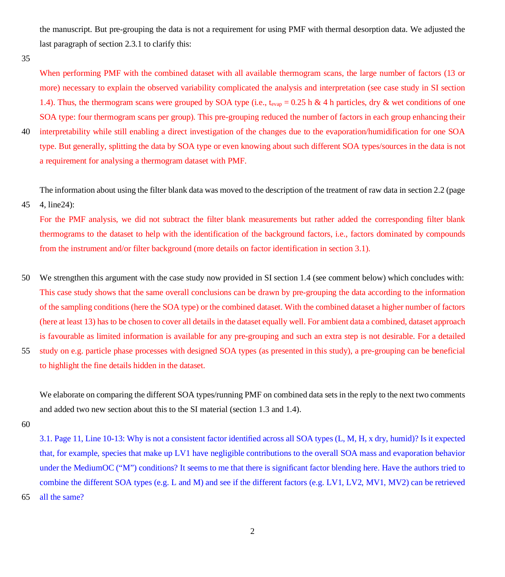the manuscript. But pre-grouping the data is not a requirement for using PMF with thermal desorption data. We adjusted the last paragraph of section 2.3.1 to clarify this:

35

When performing PMF with the combined dataset with all available thermogram scans, the large number of factors (13 or more) necessary to explain the observed variability complicated the analysis and interpretation (see case study in SI section 1.4). Thus, the thermogram scans were grouped by SOA type (i.e., t<sub>evap</sub> = 0.25 h & 4 h particles, dry & wet conditions of one SOA type: four thermogram scans per group). This pre-grouping reduced the number of factors in each group enhancing their 40 interpretability while still enabling a direct investigation of the changes due to the evaporation/humidification for one SOA type. But generally, splitting the data by SOA type or even knowing about such different SOA types/sources in the data is not a requirement for analysing a thermogram dataset with PMF.

The information about using the filter blank data was moved to the description of the treatment of raw data in section 2.2 (page

45 4, line24):

For the PMF analysis, we did not subtract the filter blank measurements but rather added the corresponding filter blank thermograms to the dataset to help with the identification of the background factors, i.e., factors dominated by compounds from the instrument and/or filter background (more details on factor identification in section 3.1).

- 50 We strengthen this argument with the case study now provided in SI section 1.4 (see comment below) which concludes with: This case study shows that the same overall conclusions can be drawn by pre-grouping the data according to the information of the sampling conditions (here the SOA type) or the combined dataset. With the combined dataset a higher number of factors (here at least 13) has to be chosen to cover all details in the dataset equally well. For ambient data a combined, dataset approach is favourable as limited information is available for any pre-grouping and such an extra step is not desirable. For a detailed
- 55 study on e.g. particle phase processes with designed SOA types (as presented in this study), a pre-grouping can be beneficial to highlight the fine details hidden in the dataset.

We elaborate on comparing the different SOA types/running PMF on combined data sets in the reply to the next two comments and added two new section about this to the SI material (section 1.3 and 1.4).

60

3.1. Page 11, Line 10-13: Why is not a consistent factor identified across all SOA types (L, M, H, x dry, humid)? Is it expected that, for example, species that make up LV1 have negligible contributions to the overall SOA mass and evaporation behavior under the MediumOC ("M") conditions? It seems to me that there is significant factor blending here. Have the authors tried to combine the different SOA types (e.g. L and M) and see if the different factors (e.g. LV1, LV2, MV1, MV2) can be retrieved 65 all the same?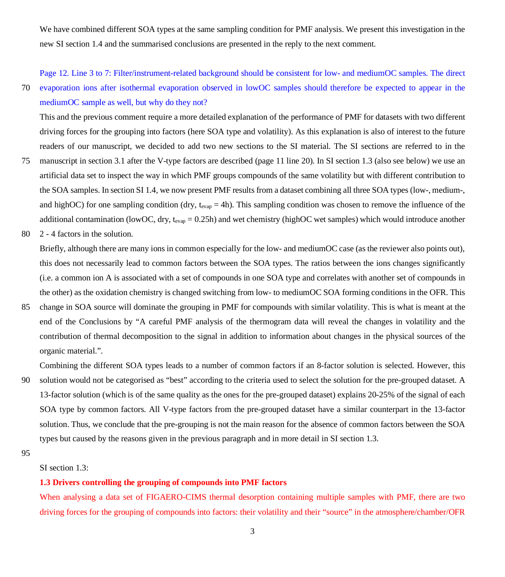We have combined different SOA types at the same sampling condition for PMF analysis. We present this investigation in the new SI section 1.4 and the summarised conclusions are presented in the reply to the next comment.

Page 12. Line 3 to 7: Filter/instrument-related background should be consistent for low- and mediumOC samples. The direct

70 evaporation ions after isothermal evaporation observed in lowOC samples should therefore be expected to appear in the mediumOC sample as well, but why do they not?

This and the previous comment require a more detailed explanation of the performance of PMF for datasets with two different driving forces for the grouping into factors (here SOA type and volatility). As this explanation is also of interest to the future readers of our manuscript, we decided to add two new sections to the SI material. The SI sections are referred to in the

- 75 manuscript in section 3.1 after the V-type factors are described (page 11 line 20). In SI section 1.3 (also see below) we use an artificial data set to inspect the way in which PMF groups compounds of the same volatility but with different contribution to the SOA samples. In section SI 1.4, we now present PMF results from a dataset combining all three SOA types (low-, medium-, and highOC) for one sampling condition (dry,  $t_{evap} = 4h$ ). This sampling condition was chosen to remove the influence of the additional contamination (lowOC, dry,  $t_{evap} = 0.25h$ ) and wet chemistry (highOC wet samples) which would introduce another
- 80 2 4 factors in the solution.

Briefly, although there are many ions in common especially for the low- and mediumOC case (as the reviewer also points out), this does not necessarily lead to common factors between the SOA types. The ratios between the ions changes significantly (i.e. a common ion A is associated with a set of compounds in one SOA type and correlates with another set of compounds in the other) as the oxidation chemistry is changed switching from low- to mediumOC SOA forming conditions in the OFR. This

85 change in SOA source will dominate the grouping in PMF for compounds with similar volatility. This is what is meant at the end of the Conclusions by "A careful PMF analysis of the thermogram data will reveal the changes in volatility and the contribution of thermal decomposition to the signal in addition to information about changes in the physical sources of the organic material.".

Combining the different SOA types leads to a number of common factors if an 8-factor solution is selected. However, this

- 90 solution would not be categorised as "best" according to the criteria used to select the solution for the pre-grouped dataset. A 13-factor solution (which is of the same quality as the ones for the pre-grouped dataset) explains 20-25% of the signal of each SOA type by common factors. All V-type factors from the pre-grouped dataset have a similar counterpart in the 13-factor solution. Thus, we conclude that the pre-grouping is not the main reason for the absence of common factors between the SOA types but caused by the reasons given in the previous paragraph and in more detail in SI section 1.3.
- 95

SI section 1.3:

#### **1.3 Drivers controlling the grouping of compounds into PMF factors**

When analysing a data set of FIGAERO-CIMS thermal desorption containing multiple samples with PMF, there are two driving forces for the grouping of compounds into factors: their volatility and their "source" in the atmosphere/chamber/OFR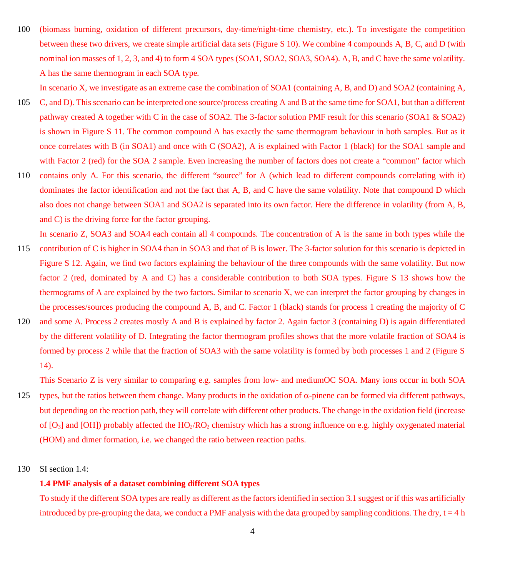100 (biomass burning, oxidation of different precursors, day-time/night-time chemistry, etc.). To investigate the competition between these two drivers, we create simple artificial data sets (Figure S 10). We combine 4 compounds A, B, C, and D (with nominal ion masses of 1, 2, 3, and 4) to form 4 SOA types (SOA1, SOA2, SOA3, SOA4). A, B, and C have the same volatility. A has the same thermogram in each SOA type.

In scenario X, we investigate as an extreme case the combination of SOA1 (containing A, B, and D) and SOA2 (containing A,

- 105 C, and D). This scenario can be interpreted one source/process creating A and B at the same time for SOA1, but than a different pathway created A together with C in the case of SOA2. The 3-factor solution PMF result for this scenario (SOA1 & SOA2) is shown in Figure S 11. The common compound A has exactly the same thermogram behaviour in both samples. But as it once correlates with B (in SOA1) and once with C (SOA2), A is explained with Factor 1 (black) for the SOA1 sample and with Factor 2 (red) for the SOA 2 sample. Even increasing the number of factors does not create a "common" factor which
- 110 contains only A. For this scenario, the different "source" for A (which lead to different compounds correlating with it) dominates the factor identification and not the fact that A, B, and C have the same volatility. Note that compound D which also does not change between SOA1 and SOA2 is separated into its own factor. Here the difference in volatility (from A, B, and C) is the driving force for the factor grouping.

In scenario Z, SOA3 and SOA4 each contain all 4 compounds. The concentration of A is the same in both types while the

- 115 contribution of C is higher in SOA4 than in SOA3 and that of B is lower. The 3-factor solution for this scenario is depicted in Figure S 12. Again, we find two factors explaining the behaviour of the three compounds with the same volatility. But now factor 2 (red, dominated by A and C) has a considerable contribution to both SOA types. Figure S 13 shows how the thermograms of A are explained by the two factors. Similar to scenario X, we can interpret the factor grouping by changes in the processes/sources producing the compound A, B, and C. Factor 1 (black) stands for process 1 creating the majority of C
- 120 and some A. Process 2 creates mostly A and B is explained by factor 2. Again factor 3 (containing D) is again differentiated by the different volatility of D. Integrating the factor thermogram profiles shows that the more volatile fraction of SOA4 is formed by process 2 while that the fraction of SOA3 with the same volatility is formed by both processes 1 and 2 (Figure S 14).

This Scenario Z is very similar to comparing e.g. samples from low- and mediumOC SOA. Many ions occur in both SOA

- 125 types, but the ratios between them change. Many products in the oxidation of  $\alpha$ -pinene can be formed via different pathways, but depending on the reaction path, they will correlate with different other products. The change in the oxidation field (increase of  $[O_3]$  and  $[OH]$ ) probably affected the  $HO_2/RO_2$  chemistry which has a strong influence on e.g. highly oxygenated material (HOM) and dimer formation, i.e. we changed the ratio between reaction paths.
- 130 SI section 1.4:

### **1.4 PMF analysis of a dataset combining different SOA types**

To study if the different SOA types are really as different as the factors identified in section 3.1 suggest or if this was artificially introduced by pre-grouping the data, we conduct a PMF analysis with the data grouped by sampling conditions. The dry,  $t = 4 h$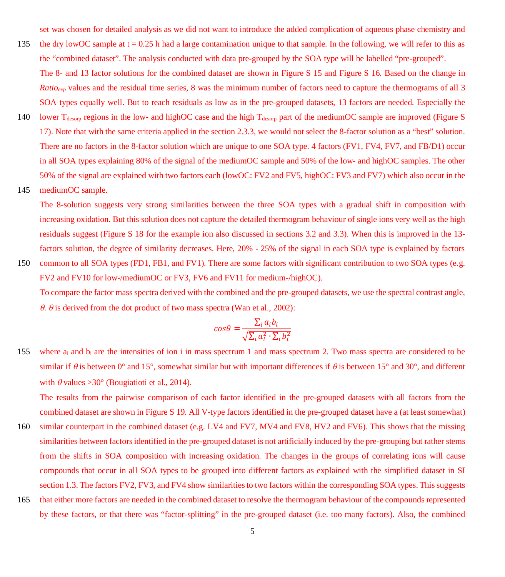set was chosen for detailed analysis as we did not want to introduce the added complication of aqueous phase chemistry and

- 135 the dry lowOC sample at  $t = 0.25$  h had a large contamination unique to that sample. In the following, we will refer to this as the "combined dataset". The analysis conducted with data pre-grouped by the SOA type will be labelled "pre-grouped". The 8- and 13 factor solutions for the combined dataset are shown in Figure S 15 and Figure S 16. Based on the change in
- *Ratio<sub>exp</sub>* values and the residual time series, 8 was the minimum number of factors need to capture the thermograms of all 3 SOA types equally well. But to reach residuals as low as in the pre-grouped datasets, 13 factors are needed. Especially the
- 140 lower  $T_{\text{desom}}$  regions in the low- and highOC case and the high  $T_{\text{desom}}$  part of the mediumOC sample are improved (Figure S 17). Note that with the same criteria applied in the section 2.3.3, we would not select the 8-factor solution as a "best" solution. There are no factors in the 8-factor solution which are unique to one SOA type. 4 factors (FV1, FV4, FV7, and FB/D1) occur in all SOA types explaining 80% of the signal of the mediumOC sample and 50% of the low- and highOC samples. The other 50% of the signal are explained with two factors each (lowOC: FV2 and FV5, highOC: FV3 and FV7) which also occur in the
- 145 mediumOC sample.

The 8-solution suggests very strong similarities between the three SOA types with a gradual shift in composition with increasing oxidation. But this solution does not capture the detailed thermogram behaviour of single ions very well as the high residuals suggest (Figure S 18 for the example ion also discussed in sections 3.2 and 3.3). When this is improved in the 13 factors solution, the degree of similarity decreases. Here, 20% - 25% of the signal in each SOA type is explained by factors

150 common to all SOA types (FD1, FB1, and FV1). There are some factors with significant contribution to two SOA types (e.g. FV2 and FV10 for low-/mediumOC or FV3, FV6 and FV11 for medium-/highOC). To compare the factor mass spectra derived with the combined and the pre-grouped datasets, we use the spectral contrast angle,  $\theta$ .  $\theta$  is derived from the dot product of two mass spectra (Wan et al., 2002):

$$
cos\theta = \frac{\sum_{i} a_{i}b_{i}}{\sqrt{\sum_{i} a_{i}^{2} \cdot \sum_{i} b_{i}^{2}}}
$$

155 where  $a_i$  and  $b_i$  are the intensities of ion i in mass spectrum 1 and mass spectrum 2. Two mass spectra are considered to be similar if  $\theta$  is between 0° and 15°, somewhat similar but with important differences if  $\theta$  is between 15° and 30°, and different with  $\theta$  values >30° (Bougiatioti et al., 2014).

The results from the pairwise comparison of each factor identified in the pre-grouped datasets with all factors from the combined dataset are shown in Figure S 19. All V-type factors identified in the pre-grouped dataset have a (at least somewhat) 160 similar counterpart in the combined dataset (e.g. LV4 and FV7, MV4 and FV8, HV2 and FV6). This shows that the missing similarities between factors identified in the pre-grouped dataset is not artificially induced by the pre-grouping but rather stems from the shifts in SOA composition with increasing oxidation. The changes in the groups of correlating ions will cause compounds that occur in all SOA types to be grouped into different factors as explained with the simplified dataset in SI section 1.3. The factors FV2, FV3, and FV4 show similarities to two factors within the corresponding SOA types. This suggests

165 that either more factors are needed in the combined dataset to resolve the thermogram behaviour of the compounds represented by these factors, or that there was "factor-splitting" in the pre-grouped dataset (i.e. too many factors). Also, the combined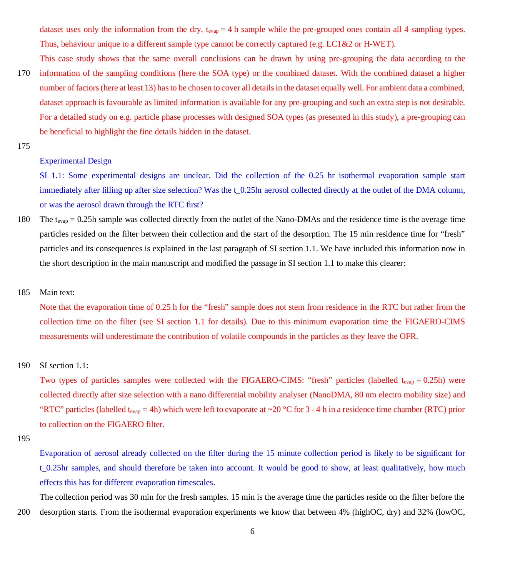dataset uses only the information from the dry,  $t_{evap} = 4$  h sample while the pre-grouped ones contain all 4 sampling types. Thus, behaviour unique to a different sample type cannot be correctly captured (e.g. LC1&2 or H-WET).

This case study shows that the same overall conclusions can be drawn by using pre-grouping the data according to the 170 information of the sampling conditions (here the SOA type) or the combined dataset. With the combined dataset a higher number of factors (here at least 13) has to be chosen to cover all details in the dataset equally well. For ambient data a combined,

- dataset approach is favourable as limited information is available for any pre-grouping and such an extra step is not desirable. For a detailed study on e.g. particle phase processes with designed SOA types (as presented in this study), a pre-grouping can be beneficial to highlight the fine details hidden in the dataset.
- 175

## Experimental Design

SI 1.1: Some experimental designs are unclear. Did the collection of the 0.25 hr isothermal evaporation sample start immediately after filling up after size selection? Was the t\_0.25hr aerosol collected directly at the outlet of the DMA column, or was the aerosol drawn through the RTC first?

180 The t<sub>evap</sub> = 0.25h sample was collected directly from the outlet of the Nano-DMAs and the residence time is the average time particles resided on the filter between their collection and the start of the desorption. The 15 min residence time for "fresh" particles and its consequences is explained in the last paragraph of SI section 1.1. We have included this information now in the short description in the main manuscript and modified the passage in SI section 1.1 to make this clearer:

## 185 Main text:

Note that the evaporation time of 0.25 h for the "fresh" sample does not stem from residence in the RTC but rather from the collection time on the filter (see SI section 1.1 for details). Due to this minimum evaporation time the FIGAERO-CIMS measurements will underestimate the contribution of volatile compounds in the particles as they leave the OFR.

## 190 SI section 1.1:

Two types of particles samples were collected with the FIGAERO-CIMS: "fresh" particles (labelled  $t_{evap} = 0.25h$ ) were collected directly after size selection with a nano differential mobility analyser (NanoDMA, 80 nm electro mobility size) and "RTC" particles (labelled t<sub>evap</sub> = 4h) which were left to evaporate at ~20 °C for 3 - 4 h in a residence time chamber (RTC) prior to collection on the FIGAERO filter.

Evaporation of aerosol already collected on the filter during the 15 minute collection period is likely to be significant for t\_0.25hr samples, and should therefore be taken into account. It would be good to show, at least qualitatively, how much effects this has for different evaporation timescales.

The collection period was 30 min for the fresh samples. 15 min is the average time the particles reside on the filter before the 200 desorption starts. From the isothermal evaporation experiments we know that between 4% (highOC, dry) and 32% (lowOC,

<sup>195</sup>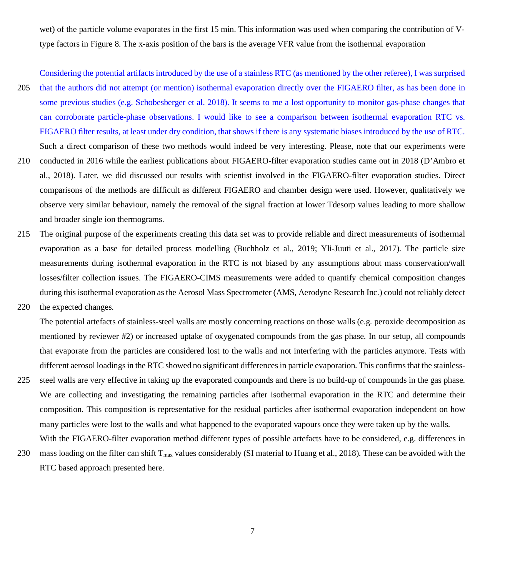wet) of the particle volume evaporates in the first 15 min. This information was used when comparing the contribution of Vtype factors in Figure 8. The x-axis position of the bars is the average VFR value from the isothermal evaporation

Considering the potential artifacts introduced by the use of a stainless RTC (as mentioned by the other referee), I was surprised 205 that the authors did not attempt (or mention) isothermal evaporation directly over the FIGAERO filter, as has been done in some previous studies (e.g. Schobesberger et al. 2018). It seems to me a lost opportunity to monitor gas-phase changes that can corroborate particle-phase observations. I would like to see a comparison between isothermal evaporation RTC vs. FIGAERO filter results, at least under dry condition, that shows if there is any systematic biases introduced by the use of RTC. Such a direct comparison of these two methods would indeed be very interesting. Please, note that our experiments were

- 210 conducted in 2016 while the earliest publications about FIGAERO-filter evaporation studies came out in 2018 (D'Ambro et al., 2018). Later, we did discussed our results with scientist involved in the FIGAERO-filter evaporation studies. Direct comparisons of the methods are difficult as different FIGAERO and chamber design were used. However, qualitatively we observe very similar behaviour, namely the removal of the signal fraction at lower Tdesorp values leading to more shallow and broader single ion thermograms.
- 215 The original purpose of the experiments creating this data set was to provide reliable and direct measurements of isothermal evaporation as a base for detailed process modelling (Buchholz et al., 2019; Yli-Juuti et al., 2017). The particle size measurements during isothermal evaporation in the RTC is not biased by any assumptions about mass conservation/wall losses/filter collection issues. The FIGAERO-CIMS measurements were added to quantify chemical composition changes during this isothermal evaporation as the Aerosol Mass Spectrometer (AMS, Aerodyne Research Inc.) could not reliably detect
- 220 the expected changes.

The potential artefacts of stainless-steel walls are mostly concerning reactions on those walls (e.g. peroxide decomposition as mentioned by reviewer #2) or increased uptake of oxygenated compounds from the gas phase. In our setup, all compounds that evaporate from the particles are considered lost to the walls and not interfering with the particles anymore. Tests with different aerosol loadings in the RTC showed no significant differences in particle evaporation. This confirms that the stainless-

- 225 steel walls are very effective in taking up the evaporated compounds and there is no build-up of compounds in the gas phase. We are collecting and investigating the remaining particles after isothermal evaporation in the RTC and determine their composition. This composition is representative for the residual particles after isothermal evaporation independent on how many particles were lost to the walls and what happened to the evaporated vapours once they were taken up by the walls. With the FIGAERO-filter evaporation method different types of possible artefacts have to be considered, e.g. differences in
- 230 mass loading on the filter can shift  $T_{\text{max}}$  values considerably (SI material to Huang et al., 2018). These can be avoided with the RTC based approach presented here.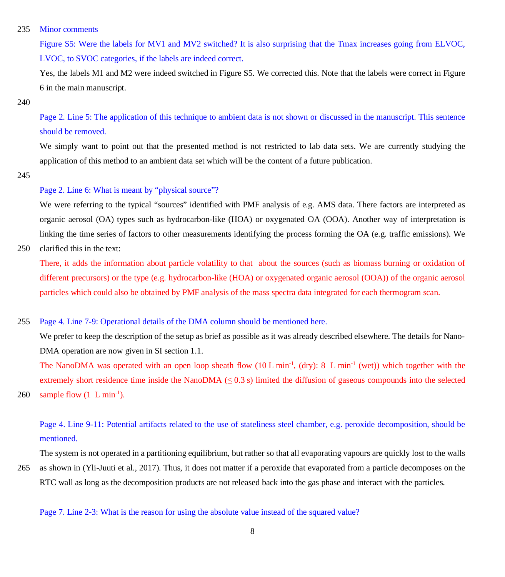### 235 Minor comments

Figure S5: Were the labels for MV1 and MV2 switched? It is also surprising that the Tmax increases going from ELVOC, LVOC, to SVOC categories, if the labels are indeed correct.

Yes, the labels M1 and M2 were indeed switched in Figure S5. We corrected this. Note that the labels were correct in Figure 6 in the main manuscript.

#### 240

Page 2. Line 5: The application of this technique to ambient data is not shown or discussed in the manuscript. This sentence should be removed.

We simply want to point out that the presented method is not restricted to lab data sets. We are currently studying the application of this method to an ambient data set which will be the content of a future publication.

245

## Page 2. Line 6: What is meant by "physical source"?

We were referring to the typical "sources" identified with PMF analysis of e.g. AMS data. There factors are interpreted as organic aerosol (OA) types such as hydrocarbon-like (HOA) or oxygenated OA (OOA). Another way of interpretation is linking the time series of factors to other measurements identifying the process forming the OA (e.g. traffic emissions). We

250 clarified this in the text:

There, it adds the information about particle volatility to that about the sources (such as biomass burning or oxidation of different precursors) or the type (e.g. hydrocarbon-like (HOA) or oxygenated organic aerosol (OOA)) of the organic aerosol particles which could also be obtained by PMF analysis of the mass spectra data integrated for each thermogram scan.

## 255 Page 4. Line 7-9: Operational details of the DMA column should be mentioned here.

We prefer to keep the description of the setup as brief as possible as it was already described elsewhere. The details for Nano-DMA operation are now given in SI section 1.1.

The NanoDMA was operated with an open loop sheath flow (10 L min<sup>-1</sup>, (dry): 8 L min<sup>-1</sup> (wet)) which together with the extremely short residence time inside the NanoDMA  $(\leq 0.3 \text{ s})$  limited the diffusion of gaseous compounds into the selected 260 sample flow  $(1 \text{ L min}^{-1})$ .

## Page 4. Line 9-11: Potential artifacts related to the use of stateliness steel chamber, e.g. peroxide decomposition, should be mentioned.

The system is not operated in a partitioning equilibrium, but rather so that all evaporating vapours are quickly lost to the walls

265 as shown in (Yli-Juuti et al., 2017). Thus, it does not matter if a peroxide that evaporated from a particle decomposes on the RTC wall as long as the decomposition products are not released back into the gas phase and interact with the particles.

Page 7. Line 2-3: What is the reason for using the absolute value instead of the squared value?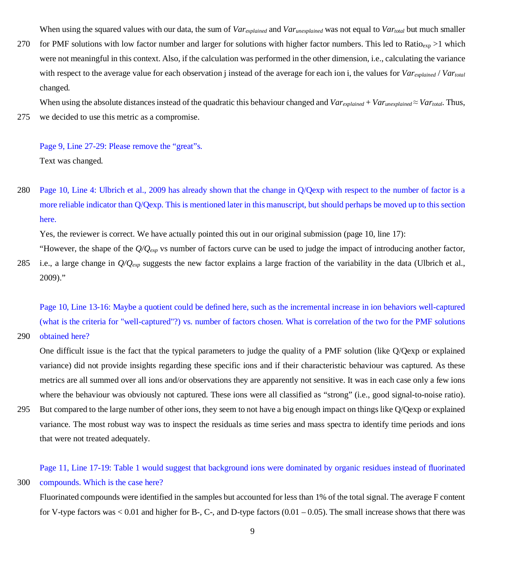When using the squared values with our data, the sum of *Varexplained* and *Varunexplained* was not equal to *Vartotal* but much smaller

270 for PMF solutions with low factor number and larger for solutions with higher factor numbers. This led to Ratio<sub>exp</sub> >1 which were not meaningful in this context. Also, if the calculation was performed in the other dimension, i.e., calculating the variance with respect to the average value for each observation j instead of the average for each ion i, the values for *Varexplained* / *Vartotal* changed.

When using the absolute distances instead of the quadratic this behaviour changed and  $Var_{explained} + Var_{unexplained} \approx Var_{total}$ . Thus, 275 we decided to use this metric as a compromise.

Page 9, Line 27-29: Please remove the "great"s. Text was changed.

280 Page 10, Line 4: Ulbrich et al., 2009 has already shown that the change in Q/Qexp with respect to the number of factor is a more reliable indicator than Q/Qexp. This is mentioned later in this manuscript, but should perhaps be moved up to this section here.

Yes, the reviewer is correct. We have actually pointed this out in our original submission (page 10, line 17):

"However, the shape of the *Q/Qexp* vs number of factors curve can be used to judge the impact of introducing another factor,

285 i.e., a large change in  $Q/Q_{evp}$  suggests the new factor explains a large fraction of the variability in the data (Ulbrich et al., 2009)."

Page 10, Line 13-16: Maybe a quotient could be defined here, such as the incremental increase in ion behaviors well-captured (what is the criteria for "well-captured"?) vs. number of factors chosen. What is correlation of the two for the PMF solutions

290 obtained here?

One difficult issue is the fact that the typical parameters to judge the quality of a PMF solution (like Q/Qexp or explained variance) did not provide insights regarding these specific ions and if their characteristic behaviour was captured. As these metrics are all summed over all ions and/or observations they are apparently not sensitive. It was in each case only a few ions where the behaviour was obviously not captured. These ions were all classified as "strong" (i.e., good signal-to-noise ratio).

295 But compared to the large number of other ions, they seem to not have a big enough impact on things like Q/Qexp or explained variance. The most robust way was to inspect the residuals as time series and mass spectra to identify time periods and ions that were not treated adequately.

Page 11, Line 17-19: Table 1 would suggest that background ions were dominated by organic residues instead of fluorinated 300 compounds. Which is the case here?

Fluorinated compounds were identified in the samples but accounted for less than 1% of the total signal. The average F content for V-type factors was  $< 0.01$  and higher for B-, C-, and D-type factors  $(0.01 - 0.05)$ . The small increase shows that there was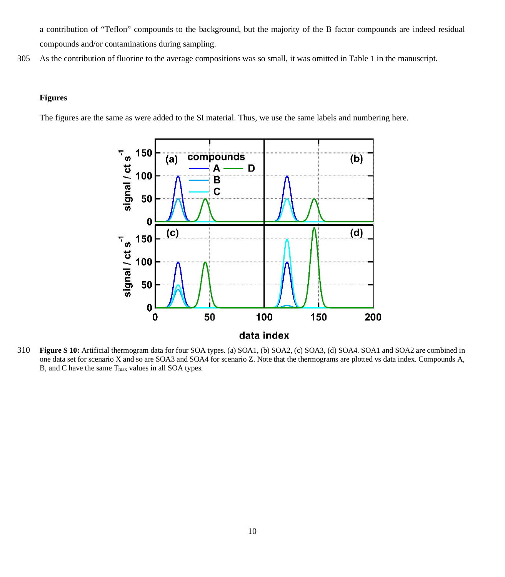a contribution of "Teflon" compounds to the background, but the majority of the B factor compounds are indeed residual compounds and/or contaminations during sampling.

305 As the contribution of fluorine to the average compositions was so small, it was omitted in Table 1 in the manuscript.

#### **Figures**

The figures are the same as were added to the SI material. Thus, we use the same labels and numbering here.



310 **Figure S 10:** Artificial thermogram data for four SOA types. (a) SOA1, (b) SOA2, (c) SOA3, (d) SOA4. SOA1 and SOA2 are combined in one data set for scenario X and so are SOA3 and SOA4 for scenario Z. Note that the thermograms are plotted vs data index. Compounds A, B, and C have the same Tmax values in all SOA types.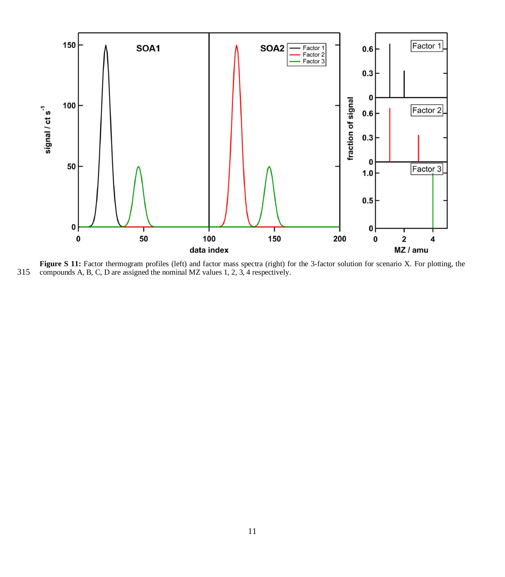

**Figure S 11:** Factor thermogram profiles (left) and factor mass spectra (right) for the 3-factor solution for scenario X. For plotting, the compounds A, B, C, D are assigned the nominal MZ values 1, 2, 3, 4 respectively.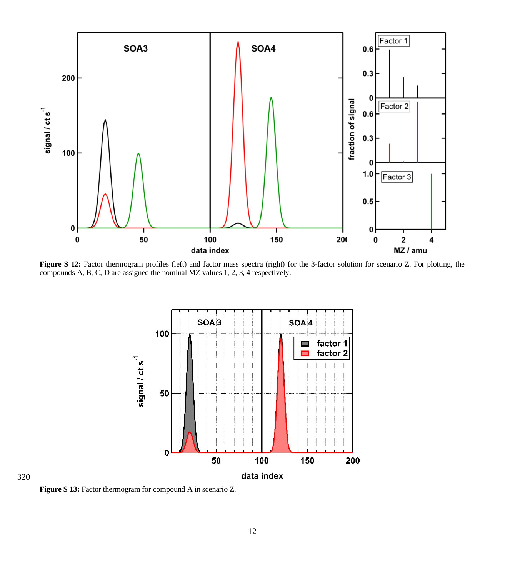

**Figure S 12:** Factor thermogram profiles (left) and factor mass spectra (right) for the 3-factor solution for scenario Z. For plotting, the compounds A, B, C, D are assigned the nominal MZ values 1, 2, 3, 4 respectively.



**Figure S 13:** Factor thermogram for compound A in scenario Z.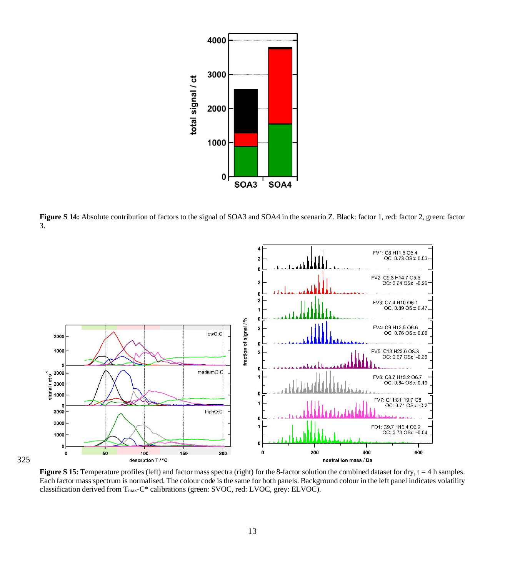

Figure S 14: Absolute contribution of factors to the signal of SOA3 and SOA4 in the scenario Z. Black: factor 1, red: factor 2, green: factor 3.



**Figure S 15:** Temperature profiles (left) and factor mass spectra (right) for the 8-factor solution the combined dataset for dry, t = 4 h samples. Each factor mass spectrum is normalised. The colour code is the same for both panels. Background colour in the left panel indicates volatility classification derived from Tmax-C\* calibrations (green: SVOC, red: LVOC, grey: ELVOC).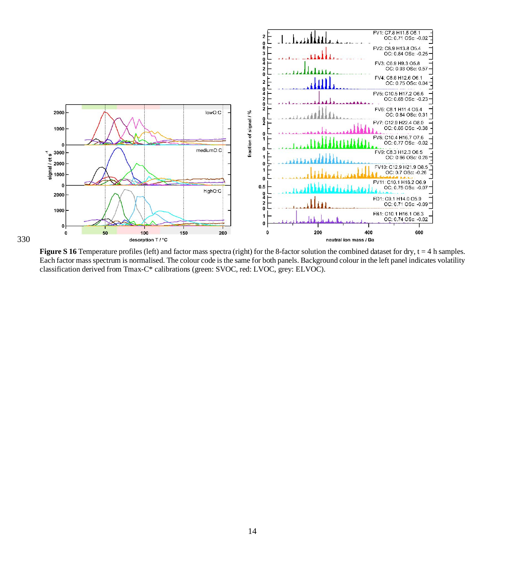

**Figure S 16** Temperature profiles (left) and factor mass spectra (right) for the 8-factor solution the combined dataset for dry, t = 4 h samples. Each factor mass spectrum is normalised. The colour code is the same for both panels. Background colour in the left panel indicates volatility classification derived from Tmax-C\* calibrations (green: SVOC, red: LVOC, grey: ELVOC).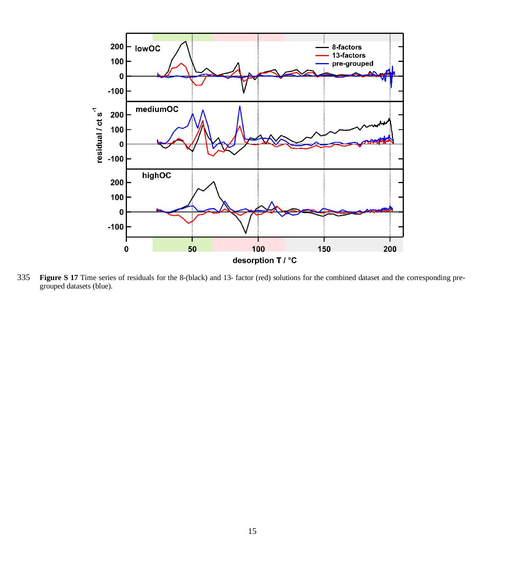

 **Figure S 17** Time series of residuals for the 8-(black) and 13- factor (red) solutions for the combined dataset and the corresponding pregrouped datasets (blue).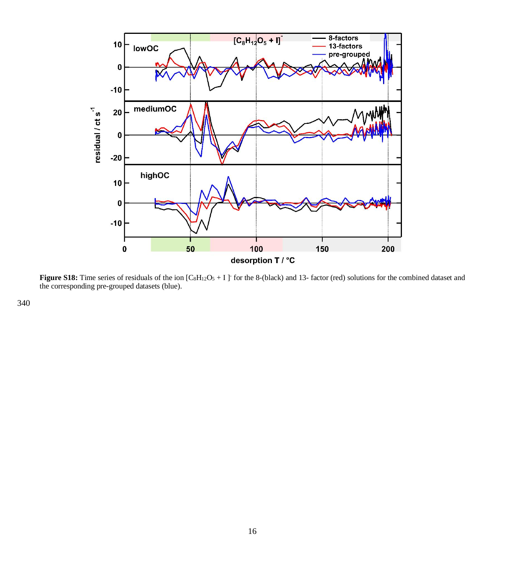

**Figure S18:** Time series of residuals of the ion  $[C_8H_{12}O_5 + I]$  for the 8-(black) and 13- factor (red) solutions for the combined dataset and the corresponding pre-grouped datasets (blue).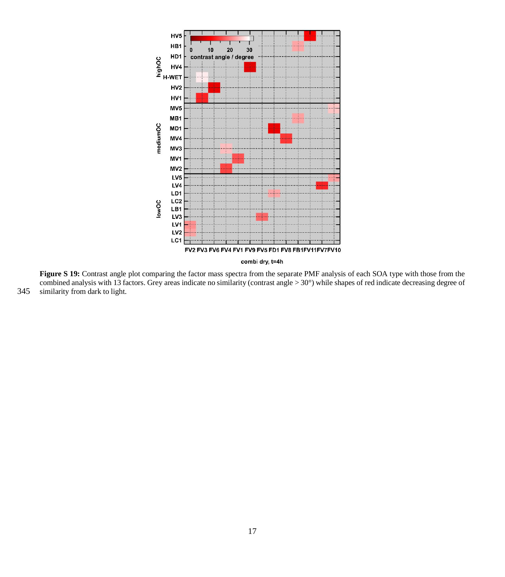

**Figure S 19:** Contrast angle plot comparing the factor mass spectra from the separate PMF analysis of each SOA type with those from the combined analysis with 13 factors. Grey areas indicate no similarity (contrast angle > 30°) while shapes of red indicate decreasing degree of 345 similarity from dark to light.